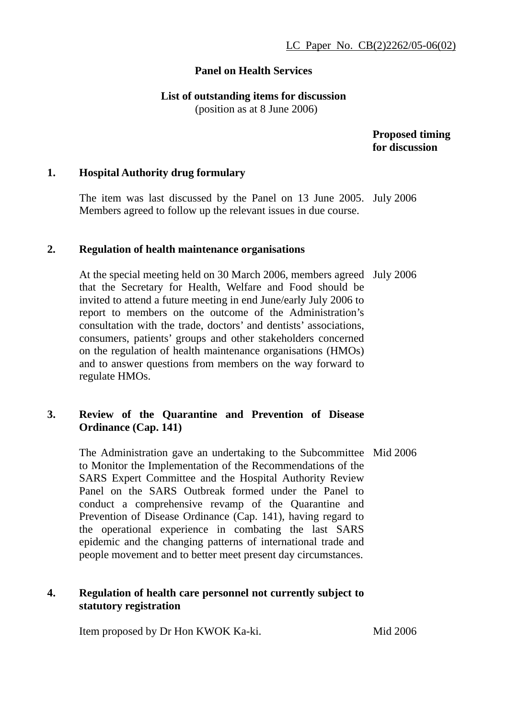# **Panel on Health Services**

## **List of outstanding items for discussion**

(position as at 8 June 2006)

 **Proposed timing for discussion** 

### **1. Hospital Authority drug formulary**

The item was last discussed by the Panel on 13 June 2005. July 2006 Members agreed to follow up the relevant issues in due course.

### **2. Regulation of health maintenance organisations**

At the special meeting held on 30 March 2006, members agreed July 2006 that the Secretary for Health, Welfare and Food should be invited to attend a future meeting in end June/early July 2006 to report to members on the outcome of the Administration's consultation with the trade, doctors' and dentists' associations, consumers, patients' groups and other stakeholders concerned on the regulation of health maintenance organisations (HMOs) and to answer questions from members on the way forward to regulate HMOs.

# **3. Review of the Quarantine and Prevention of Disease Ordinance (Cap. 141)**

The Administration gave an undertaking to the Subcommittee Mid 2006 to Monitor the Implementation of the Recommendations of the SARS Expert Committee and the Hospital Authority Review Panel on the SARS Outbreak formed under the Panel to conduct a comprehensive revamp of the Quarantine and Prevention of Disease Ordinance (Cap. 141), having regard to the operational experience in combating the last SARS epidemic and the changing patterns of international trade and people movement and to better meet present day circumstances.

# **4. Regulation of health care personnel not currently subject to statutory registration**

Item proposed by Dr Hon KWOK Ka-ki.

Mid 2006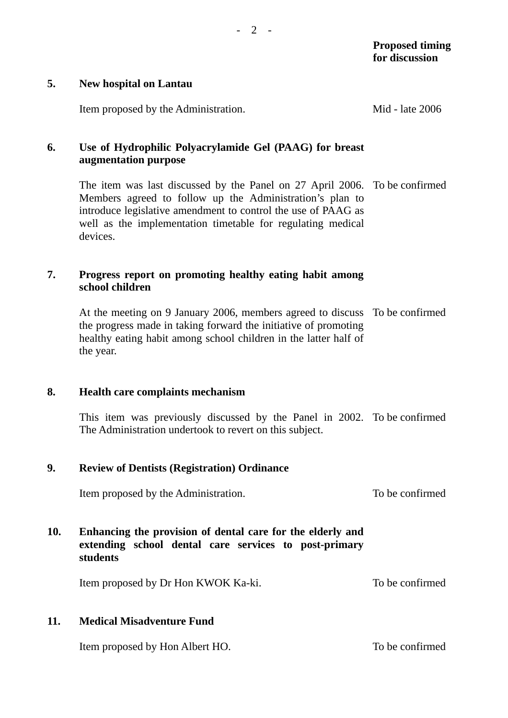#### **5. New hospital on Lantau**

Item proposed by the Administration. Mid - late 2006

# **6. Use of Hydrophilic Polyacrylamide Gel (PAAG) for breast augmentation purpose**

The item was last discussed by the Panel on 27 April 2006. To be confirmed Members agreed to follow up the Administration's plan to introduce legislative amendment to control the use of PAAG as well as the implementation timetable for regulating medical devices.

### **7. Progress report on promoting healthy eating habit among school children**

At the meeting on 9 January 2006, members agreed to discuss To be confirmed the progress made in taking forward the initiative of promoting healthy eating habit among school children in the latter half of the year.

### **8. Health care complaints mechanism**

This item was previously discussed by the Panel in 2002. To be confirmed The Administration undertook to revert on this subject.

### **9. Review of Dentists (Registration) Ordinance**

Item proposed by the Administration. To be confirmed

# **10. Enhancing the provision of dental care for the elderly and extending school dental care services to post-primary students**

Item proposed by Dr Hon KWOK Ka-ki. To be confirmed

### **11. Medical Misadventure Fund**

Item proposed by Hon Albert HO. To be confirmed